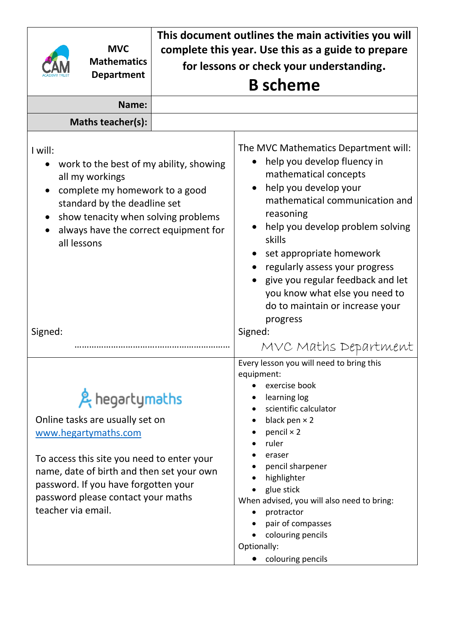|                                                                                                                                                                                                                                                     | <b>MVC</b><br><b>Mathematics</b><br><b>Department</b>                                                                                                                                                                                              | This document outlines the main activities you will<br>complete this year. Use this as a guide to prepare<br>for lessons or check your understanding. |                                                                                                                                                                                                                                                                                                                                                                                                        |  |  |  |
|-----------------------------------------------------------------------------------------------------------------------------------------------------------------------------------------------------------------------------------------------------|----------------------------------------------------------------------------------------------------------------------------------------------------------------------------------------------------------------------------------------------------|-------------------------------------------------------------------------------------------------------------------------------------------------------|--------------------------------------------------------------------------------------------------------------------------------------------------------------------------------------------------------------------------------------------------------------------------------------------------------------------------------------------------------------------------------------------------------|--|--|--|
|                                                                                                                                                                                                                                                     |                                                                                                                                                                                                                                                    |                                                                                                                                                       | <b>B</b> scheme                                                                                                                                                                                                                                                                                                                                                                                        |  |  |  |
|                                                                                                                                                                                                                                                     | Name:                                                                                                                                                                                                                                              |                                                                                                                                                       |                                                                                                                                                                                                                                                                                                                                                                                                        |  |  |  |
|                                                                                                                                                                                                                                                     | Maths teacher(s):                                                                                                                                                                                                                                  |                                                                                                                                                       |                                                                                                                                                                                                                                                                                                                                                                                                        |  |  |  |
| I will:<br>work to the best of my ability, showing<br>all my workings<br>complete my homework to a good<br>$\bullet$<br>standard by the deadline set<br>show tenacity when solving problems<br>always have the correct equipment for<br>all lessons |                                                                                                                                                                                                                                                    |                                                                                                                                                       | The MVC Mathematics Department will:<br>help you develop fluency in<br>mathematical concepts<br>help you develop your<br>mathematical communication and<br>reasoning<br>help you develop problem solving<br>skills<br>set appropriate homework<br>regularly assess your progress<br>give you regular feedback and let<br>you know what else you need to<br>do to maintain or increase your<br>progress |  |  |  |
| Signed:                                                                                                                                                                                                                                             |                                                                                                                                                                                                                                                    |                                                                                                                                                       | Signed:<br>MVC Maths Department                                                                                                                                                                                                                                                                                                                                                                        |  |  |  |
| teacher via email.                                                                                                                                                                                                                                  | & hegartymaths<br>Online tasks are usually set on<br>www.hegartymaths.com<br>To access this site you need to enter your<br>name, date of birth and then set your own<br>password. If you have forgotten your<br>password please contact your maths |                                                                                                                                                       | Every lesson you will need to bring this<br>equipment:<br>exercise book<br>learning log<br>scientific calculator<br>black pen $\times$ 2<br>pencil $\times$ 2<br>ruler<br>eraser<br>pencil sharpener<br>highlighter<br>glue stick<br>When advised, you will also need to bring:<br>protractor<br>pair of compasses<br>colouring pencils<br>Optionally:<br>colouring pencils                            |  |  |  |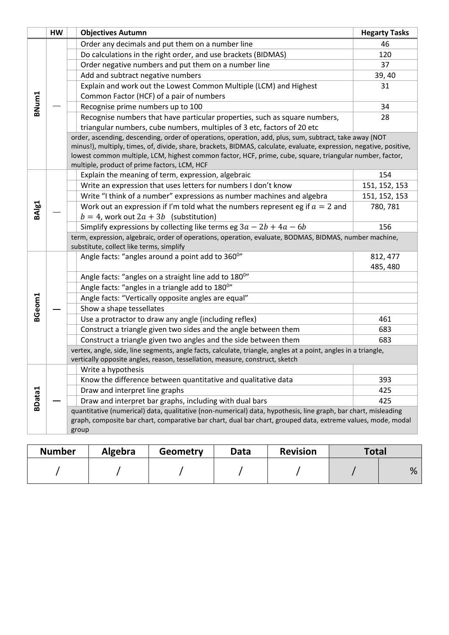|        | <b>HW</b> | <b>Objectives Autumn</b>                                                                                                                           | <b>Hegarty Tasks</b> |  |  |  |  |
|--------|-----------|----------------------------------------------------------------------------------------------------------------------------------------------------|----------------------|--|--|--|--|
|        |           | Order any decimals and put them on a number line                                                                                                   | 46                   |  |  |  |  |
|        |           | Do calculations in the right order, and use brackets (BIDMAS)                                                                                      | 120                  |  |  |  |  |
|        |           | Order negative numbers and put them on a number line                                                                                               | 37                   |  |  |  |  |
|        |           | Add and subtract negative numbers                                                                                                                  | 39, 40               |  |  |  |  |
|        |           | Explain and work out the Lowest Common Multiple (LCM) and Highest                                                                                  | 31                   |  |  |  |  |
|        |           | Common Factor (HCF) of a pair of numbers                                                                                                           |                      |  |  |  |  |
| BNum1  |           | Recognise prime numbers up to 100                                                                                                                  | 34                   |  |  |  |  |
|        |           | Recognise numbers that have particular properties, such as square numbers,                                                                         | 28                   |  |  |  |  |
|        |           | triangular numbers, cube numbers, multiples of 3 etc, factors of 20 etc                                                                            |                      |  |  |  |  |
|        |           | order, ascending, descending, order of operations, operation, add, plus, sum, subtract, take away (NOT                                             |                      |  |  |  |  |
|        |           | minus!), multiply, times, of, divide, share, brackets, BIDMAS, calculate, evaluate, expression, negative, positive,                                |                      |  |  |  |  |
|        |           | lowest common multiple, LCM, highest common factor, HCF, prime, cube, square, triangular number, factor,                                           |                      |  |  |  |  |
|        |           | multiple, product of prime factors, LCM, HCF                                                                                                       |                      |  |  |  |  |
|        |           | Explain the meaning of term, expression, algebraic                                                                                                 | 154                  |  |  |  |  |
|        |           | Write an expression that uses letters for numbers I don't know                                                                                     | 151, 152, 153        |  |  |  |  |
|        |           | Write "I think of a number" expressions as number machines and algebra                                                                             | 151, 152, 153        |  |  |  |  |
| BAIg1  |           | Work out an expression if I'm told what the numbers represent eg if $a = 2$ and                                                                    | 780, 781             |  |  |  |  |
|        |           | $b = 4$ , work out $2a + 3b$ (substitution)                                                                                                        |                      |  |  |  |  |
|        |           | Simplify expressions by collecting like terms eg $3a - 2b + 4a - 6b$                                                                               | 156                  |  |  |  |  |
|        |           | term, expression, algebraic, order of operations, operation, evaluate, BODMAS, BIDMAS, number machine,<br>substitute, collect like terms, simplify |                      |  |  |  |  |
|        |           | Angle facts: "angles around a point add to 360°"                                                                                                   | 812, 477             |  |  |  |  |
|        |           |                                                                                                                                                    | 485, 480             |  |  |  |  |
|        |           | Angle facts: "angles on a straight line add to 1800"                                                                                               |                      |  |  |  |  |
|        |           | Angle facts: "angles in a triangle add to 180°"                                                                                                    |                      |  |  |  |  |
|        |           | Angle facts: "Vertically opposite angles are equal"                                                                                                |                      |  |  |  |  |
|        |           | Show a shape tessellates                                                                                                                           |                      |  |  |  |  |
| BGeom1 |           | Use a protractor to draw any angle (including reflex)                                                                                              | 461                  |  |  |  |  |
|        |           | Construct a triangle given two sides and the angle between them                                                                                    | 683                  |  |  |  |  |
|        |           | Construct a triangle given two angles and the side between them                                                                                    | 683                  |  |  |  |  |
|        |           | vertex, angle, side, line segments, angle facts, calculate, triangle, angles at a point, angles in a triangle,                                     |                      |  |  |  |  |
|        |           | vertically opposite angles, reason, tessellation, measure, construct, sketch                                                                       |                      |  |  |  |  |
|        |           | Write a hypothesis                                                                                                                                 |                      |  |  |  |  |
|        |           | Know the difference between quantitative and qualitative data                                                                                      | 393                  |  |  |  |  |
|        |           | Draw and interpret line graphs                                                                                                                     | 425                  |  |  |  |  |
| BData1 |           | Draw and interpret bar graphs, including with dual bars                                                                                            | 425                  |  |  |  |  |
|        |           | quantitative (numerical) data, qualitative (non-numerical) data, hypothesis, line graph, bar chart, misleading                                     |                      |  |  |  |  |
|        |           | graph, composite bar chart, comparative bar chart, dual bar chart, grouped data, extreme values, mode, modal                                       |                      |  |  |  |  |
|        |           | group                                                                                                                                              |                      |  |  |  |  |
|        |           |                                                                                                                                                    |                      |  |  |  |  |

| <b>Number</b> | <b>Algebra</b> | <b>Geometry</b> | Data | <b>Revision</b> | <b>Total</b> |   |
|---------------|----------------|-----------------|------|-----------------|--------------|---|
|               |                |                 |      |                 |              | % |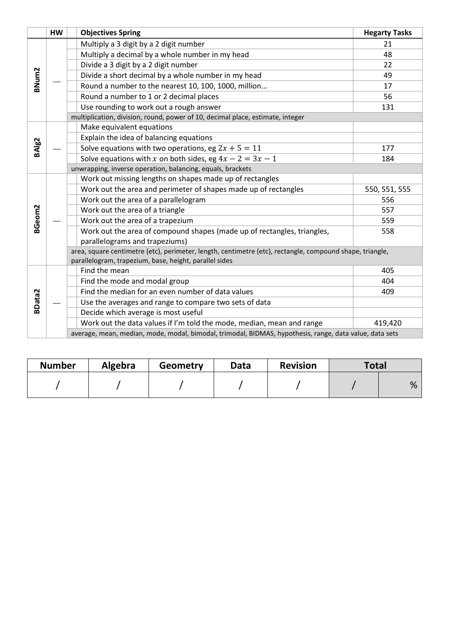|                    | <b>HW</b> |                                                            | <b>Objectives Spring</b>                                                                                                                                           | <b>Hegarty Tasks</b> |  |  |  |
|--------------------|-----------|------------------------------------------------------------|--------------------------------------------------------------------------------------------------------------------------------------------------------------------|----------------------|--|--|--|
|                    |           |                                                            | Multiply a 3 digit by a 2 digit number                                                                                                                             | 21                   |  |  |  |
|                    |           |                                                            | Multiply a decimal by a whole number in my head                                                                                                                    | 48                   |  |  |  |
|                    |           |                                                            | Divide a 3 digit by a 2 digit number                                                                                                                               | 22                   |  |  |  |
| BNum2              |           |                                                            | Divide a short decimal by a whole number in my head                                                                                                                | 49                   |  |  |  |
|                    |           |                                                            | Round a number to the nearest 10, 100, 1000, million                                                                                                               | 17                   |  |  |  |
|                    |           |                                                            | Round a number to 1 or 2 decimal places                                                                                                                            | 56                   |  |  |  |
|                    |           |                                                            | Use rounding to work out a rough answer                                                                                                                            | 131                  |  |  |  |
|                    |           |                                                            | multiplication, division, round, power of 10, decimal place, estimate, integer                                                                                     |                      |  |  |  |
|                    |           |                                                            | Make equivalent equations                                                                                                                                          |                      |  |  |  |
|                    |           |                                                            | Explain the idea of balancing equations                                                                                                                            |                      |  |  |  |
| BAlg <sub>2</sub>  |           |                                                            | Solve equations with two operations, eg $2x + 5 = 11$                                                                                                              | 177                  |  |  |  |
|                    |           |                                                            | Solve equations with x on both sides, eg $4x - 2 = 3x - 1$                                                                                                         | 184                  |  |  |  |
|                    |           | unwrapping, inverse operation, balancing, equals, brackets |                                                                                                                                                                    |                      |  |  |  |
|                    |           |                                                            | Work out missing lengths on shapes made up of rectangles                                                                                                           |                      |  |  |  |
|                    |           |                                                            | Work out the area and perimeter of shapes made up of rectangles                                                                                                    | 550, 551, 555        |  |  |  |
|                    |           |                                                            | Work out the area of a parallelogram                                                                                                                               | 556                  |  |  |  |
| BGeom <sub>2</sub> |           |                                                            | Work out the area of a triangle                                                                                                                                    | 557                  |  |  |  |
|                    |           |                                                            | Work out the area of a trapezium                                                                                                                                   | 559                  |  |  |  |
|                    |           |                                                            | Work out the area of compound shapes (made up of rectangles, triangles,                                                                                            | 558                  |  |  |  |
|                    |           |                                                            | parallelograms and trapeziums)                                                                                                                                     |                      |  |  |  |
|                    |           |                                                            | area, square centimetre (etc), perimeter, length, centimetre (etc), rectangle, compound shape, triangle,<br>parallelogram, trapezium, base, height, parallel sides |                      |  |  |  |
|                    |           |                                                            | Find the mean                                                                                                                                                      | 405                  |  |  |  |
|                    |           |                                                            | Find the mode and modal group                                                                                                                                      | 404                  |  |  |  |
|                    |           |                                                            | Find the median for an even number of data values                                                                                                                  | 409                  |  |  |  |
| <b>BData2</b>      |           |                                                            | Use the averages and range to compare two sets of data                                                                                                             |                      |  |  |  |
|                    |           |                                                            | Decide which average is most useful                                                                                                                                |                      |  |  |  |
|                    |           |                                                            | Work out the data values if I'm told the mode, median, mean and range                                                                                              | 419,420              |  |  |  |
|                    |           |                                                            | average, mean, median, mode, modal, bimodal, trimodal, BIDMAS, hypothesis, range, data value, data sets                                                            |                      |  |  |  |

| <b>Number</b> | Algebra | Geometry | Data | <b>Revision</b> | Total |   |
|---------------|---------|----------|------|-----------------|-------|---|
|               |         |          |      |                 |       | % |